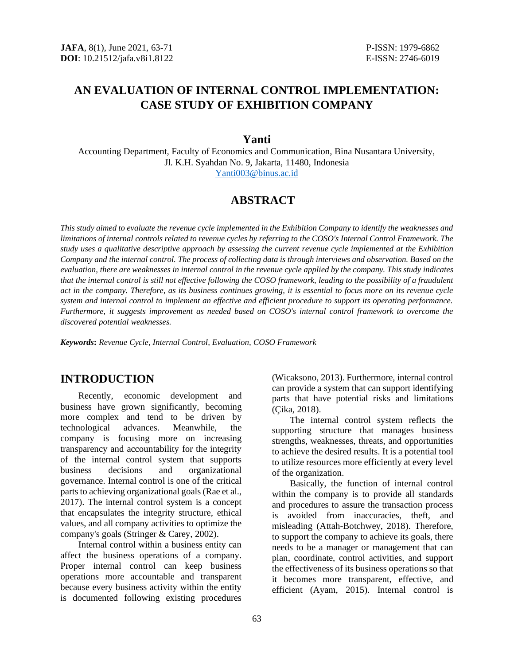# **AN EVALUATION OF INTERNAL CONTROL IMPLEMENTATION: CASE STUDY OF EXHIBITION COMPANY**

### **Yanti**

Accounting Department, Faculty of Economics and Communication, Bina Nusantara University, Jl. K.H. Syahdan No. 9, Jakarta, 11480, Indonesia [Yanti003@binus.ac.id](mailto:Yanti003@binus.ac.id)

## **ABSTRACT**

*This study aimed to evaluate the revenue cycle implemented in the Exhibition Company to identify the weaknesses and limitations of internal controls related to revenue cycles by referring to the COSO's Internal Control Framework. The study uses a qualitative descriptive approach by assessing the current revenue cycle implemented at the Exhibition Company and the internal control. The process of collecting data is through interviews and observation. Based on the evaluation, there are weaknesses in internal control in the revenue cycle applied by the company. This study indicates that the internal control is still not effective following the COSO framework, leading to the possibility of a fraudulent act in the company. Therefore, as its business continues growing, it is essential to focus more on its revenue cycle system and internal control to implement an effective and efficient procedure to support its operating performance. Furthermore, it suggests improvement as needed based on COSO's internal control framework to overcome the discovered potential weaknesses.*

*Keywords***:** *Revenue Cycle, Internal Control, Evaluation, COSO Framework*

## **INTRODUCTION**

Recently, economic development and business have grown significantly, becoming more complex and tend to be driven by technological advances. Meanwhile, the company is focusing more on increasing transparency and accountability for the integrity of the internal control system that supports business decisions and organizational governance. Internal control is one of the critical parts to achieving organizational goals (Rae et al., 2017). The internal control system is a concept that encapsulates the integrity structure, ethical values, and all company activities to optimize the company's goals (Stringer & Carey, 2002).

Internal control within a business entity can affect the business operations of a company. Proper internal control can keep business operations more accountable and transparent because every business activity within the entity is documented following existing procedures (Wicaksono, 2013). Furthermore, internal control can provide a system that can support identifying parts that have potential risks and limitations (Çika, 2018).

The internal control system reflects the supporting structure that manages business strengths, weaknesses, threats, and opportunities to achieve the desired results. It is a potential tool to utilize resources more efficiently at every level of the organization.

Basically, the function of internal control within the company is to provide all standards and procedures to assure the transaction process is avoided from inaccuracies, theft, and misleading (Attah-Botchwey, 2018). Therefore, to support the company to achieve its goals, there needs to be a manager or management that can plan, coordinate, control activities, and support the effectiveness of its business operations so that it becomes more transparent, effective, and efficient (Ayam, 2015). Internal control is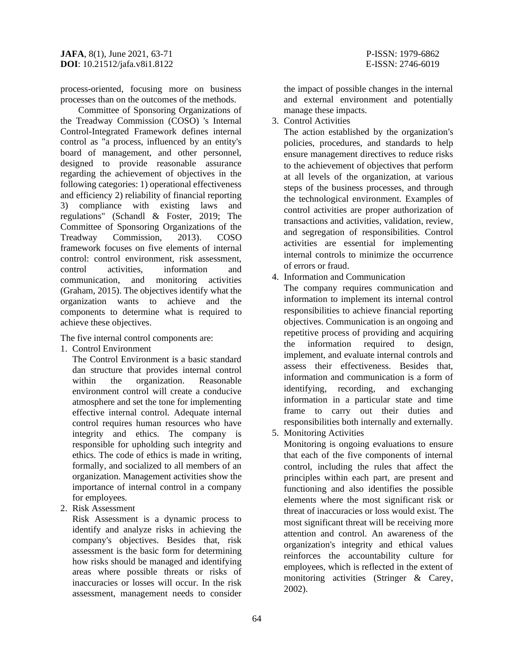process-oriented, focusing more on business processes than on the outcomes of the methods.

Committee of Sponsoring Organizations of the Treadway Commission (COSO) 's Internal Control-Integrated Framework defines internal control as "a process, influenced by an entity's board of management, and other personnel, designed to provide reasonable assurance regarding the achievement of objectives in the following categories: 1) operational effectiveness and efficiency 2) reliability of financial reporting 3) compliance with existing laws and regulations" (Schandl & Foster, 2019; The Committee of Sponsoring Organizations of the Treadway Commission, 2013). COSO framework focuses on five elements of internal control: control environment, risk assessment, control activities, information and communication, and monitoring activities (Graham, 2015). The objectives identify what the organization wants to achieve and the components to determine what is required to achieve these objectives.

The five internal control components are:

1. Control Environment

The Control Environment is a basic standard dan structure that provides internal control within the organization. Reasonable environment control will create a conducive atmosphere and set the tone for implementing effective internal control. Adequate internal control requires human resources who have integrity and ethics. The company is responsible for upholding such integrity and ethics. The code of ethics is made in writing, formally, and socialized to all members of an organization. Management activities show the importance of internal control in a company for employees.

2. Risk Assessment

Risk Assessment is a dynamic process to identify and analyze risks in achieving the company's objectives. Besides that, risk assessment is the basic form for determining how risks should be managed and identifying areas where possible threats or risks of inaccuracies or losses will occur. In the risk assessment, management needs to consider the impact of possible changes in the internal and external environment and potentially manage these impacts.

3. Control Activities

The action established by the organization's policies, procedures, and standards to help ensure management directives to reduce risks to the achievement of objectives that perform at all levels of the organization, at various steps of the business processes, and through the technological environment. Examples of control activities are proper authorization of transactions and activities, validation, review, and segregation of responsibilities. Control activities are essential for implementing internal controls to minimize the occurrence of errors or fraud.

4. Information and Communication

The company requires communication and information to implement its internal control responsibilities to achieve financial reporting objectives. Communication is an ongoing and repetitive process of providing and acquiring the information required to design, implement, and evaluate internal controls and assess their effectiveness. Besides that, information and communication is a form of identifying, recording, and exchanging information in a particular state and time frame to carry out their duties and responsibilities both internally and externally.

5. Monitoring Activities

Monitoring is ongoing evaluations to ensure that each of the five components of internal control, including the rules that affect the principles within each part, are present and functioning and also identifies the possible elements where the most significant risk or threat of inaccuracies or loss would exist. The most significant threat will be receiving more attention and control. An awareness of the organization's integrity and ethical values reinforces the accountability culture for employees, which is reflected in the extent of monitoring activities (Stringer & Carey, 2002).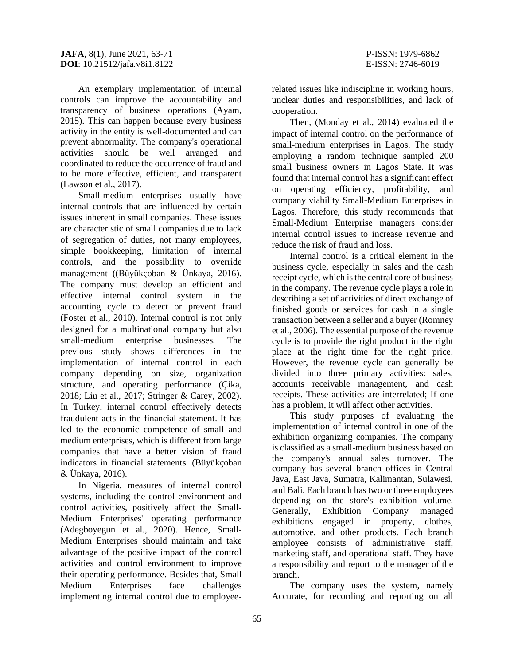An exemplary implementation of internal controls can improve the accountability and transparency of business operations (Ayam, 2015). This can happen because every business activity in the entity is well-documented and can prevent abnormality. The company's operational activities should be well arranged and coordinated to reduce the occurrence of fraud and to be more effective, efficient, and transparent (Lawson et al., 2017).

Small-medium enterprises usually have internal controls that are influenced by certain issues inherent in small companies. These issues are characteristic of small companies due to lack of segregation of duties, not many employees, simple bookkeeping, limitation of internal controls, and the possibility to override management ((Büyükçoban & Ünkaya, 2016). The company must develop an efficient and effective internal control system in the accounting cycle to detect or prevent fraud (Foster et al., 2010). Internal control is not only designed for a multinational company but also small-medium enterprise businesses. The previous study shows differences in the implementation of internal control in each company depending on size, organization structure, and operating performance (Çika, 2018; Liu et al., 2017; Stringer & Carey, 2002). In Turkey, internal control effectively detects fraudulent acts in the financial statement. It has led to the economic competence of small and medium enterprises, which is different from large companies that have a better vision of fraud indicators in financial statements. (Büyükçoban & Ünkaya, 2016).

In Nigeria, measures of internal control systems, including the control environment and control activities, positively affect the Small-Medium Enterprises' operating performance (Adegboyegun et al., 2020). Hence, Small-Medium Enterprises should maintain and take advantage of the positive impact of the control activities and control environment to improve their operating performance. Besides that, Small Medium Enterprises face challenges implementing internal control due to employeerelated issues like indiscipline in working hours, unclear duties and responsibilities, and lack of cooperation.

Then, (Monday et al., 2014) evaluated the impact of internal control on the performance of small-medium enterprises in Lagos. The study employing a random technique sampled 200 small business owners in Lagos State. It was found that internal control has a significant effect on operating efficiency, profitability, and company viability Small-Medium Enterprises in Lagos. Therefore, this study recommends that Small-Medium Enterprise managers consider internal control issues to increase revenue and reduce the risk of fraud and loss.

Internal control is a critical element in the business cycle, especially in sales and the cash receipt cycle, which is the central core of business in the company. The revenue cycle plays a role in describing a set of activities of direct exchange of finished goods or services for cash in a single transaction between a seller and a buyer (Romney et al., 2006). The essential purpose of the revenue cycle is to provide the right product in the right place at the right time for the right price. However, the revenue cycle can generally be divided into three primary activities: sales, accounts receivable management, and cash receipts. These activities are interrelated; If one has a problem, it will affect other activities.

This study purposes of evaluating the implementation of internal control in one of the exhibition organizing companies. The company is classified as a small-medium business based on the company's annual sales turnover. The company has several branch offices in Central Java, East Java, Sumatra, Kalimantan, Sulawesi, and Bali. Each branch has two or three employees depending on the store's exhibition volume. Generally, Exhibition Company managed exhibitions engaged in property, clothes, automotive, and other products. Each branch employee consists of administrative staff, marketing staff, and operational staff. They have a responsibility and report to the manager of the branch.

The company uses the system, namely Accurate, for recording and reporting on all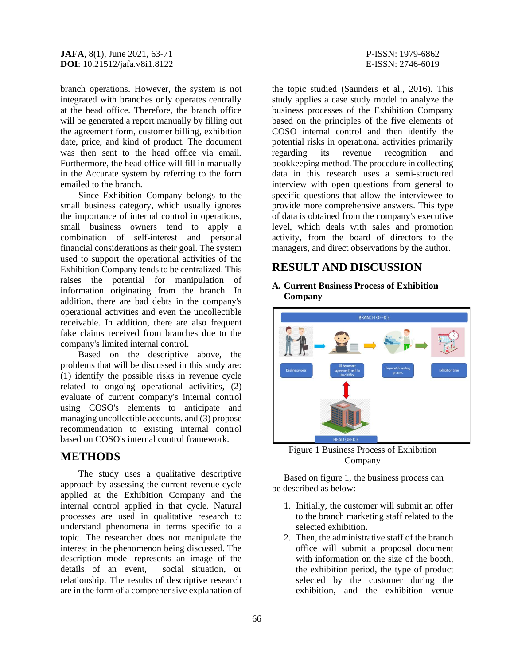branch operations. However, the system is not integrated with branches only operates centrally at the head office. Therefore, the branch office will be generated a report manually by filling out the agreement form, customer billing, exhibition date, price, and kind of product. The document was then sent to the head office via email. Furthermore, the head office will fill in manually in the Accurate system by referring to the form emailed to the branch.

Since Exhibition Company belongs to the small business category, which usually ignores the importance of internal control in operations, small business owners tend to apply a combination of self-interest and personal financial considerations as their goal. The system used to support the operational activities of the Exhibition Company tends to be centralized. This raises the potential for manipulation of information originating from the branch. In addition, there are bad debts in the company's operational activities and even the uncollectible receivable. In addition, there are also frequent fake claims received from branches due to the company's limited internal control.

Based on the descriptive above, the problems that will be discussed in this study are: (1) identify the possible risks in revenue cycle related to ongoing operational activities, (2) evaluate of current company's internal control using COSO's elements to anticipate and managing uncollectible accounts, and (3) propose recommendation to existing internal control based on COSO's internal control framework.

## **METHODS**

The study uses a qualitative descriptive approach by assessing the current revenue cycle applied at the Exhibition Company and the internal control applied in that cycle. Natural processes are used in qualitative research to understand phenomena in terms specific to a topic. The researcher does not manipulate the interest in the phenomenon being discussed. The description model represents an image of the details of an event, social situation, or relationship. The results of descriptive research are in the form of a comprehensive explanation of

the topic studied (Saunders et al., 2016). This study applies a case study model to analyze the business processes of the Exhibition Company based on the principles of the five elements of COSO internal control and then identify the potential risks in operational activities primarily regarding its revenue recognition and bookkeeping method. The procedure in collecting data in this research uses a semi-structured interview with open questions from general to specific questions that allow the interviewee to provide more comprehensive answers. This type of data is obtained from the company's executive level, which deals with sales and promotion activity, from the board of directors to the managers, and direct observations by the author.

## **RESULT AND DISCUSSION**

#### **A. Current Business Process of Exhibition Company**



Figure 1 Business Process of Exhibition Company

Based on figure 1, the business process can be described as below:

- 1. Initially, the customer will submit an offer to the branch marketing staff related to the selected exhibition.
- 2. Then, the administrative staff of the branch office will submit a proposal document with information on the size of the booth, the exhibition period, the type of product selected by the customer during the exhibition, and the exhibition venue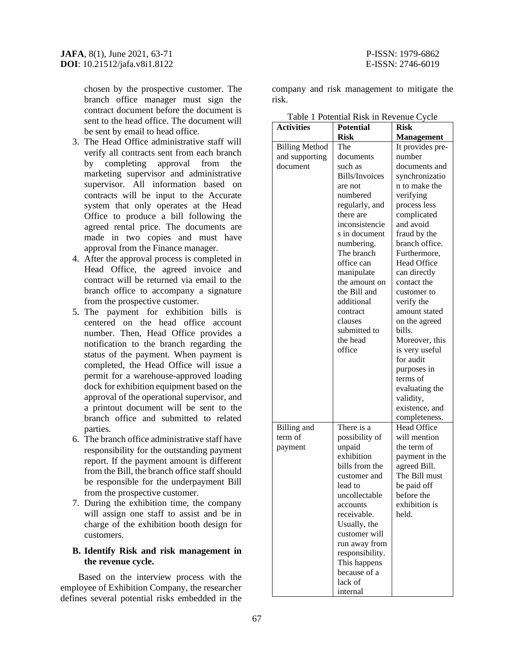chosen by the prospective customer. The branch office manager must sign the contract document before the document is sent to the head office. The document will be sent by email to head office.

- 3. The Head Office administrative staff will verify all contracts sent from each branch by completing approval from the marketing supervisor and administrative supervisor. All information based on contracts will be input to the Accurate system that only operates at the Head Office to produce a bill following the agreed rental price. The documents are made in two copies and must have approval from the Finance manager.
- 4. After the approval process is completed in Head Office, the agreed invoice and contract will be returned via email to the branch office to accompany a signature from the prospective customer.
- 5. The payment for exhibition bills is centered on the head office account number. Then, Head Office provides a notification to the branch regarding the status of the payment. When payment is completed, the Head Office will issue a permit for a warehouse-approved loading dock for exhibition equipment based on the approval of the operational supervisor, and a printout document will be sent to the branch office and submitted to related parties.
- 6. The branch office administrative staff have responsibility for the outstanding payment report. If the payment amount is different from the Bill, the branch office staff should be responsible for the underpayment Bill from the prospective customer.
- 7. During the exhibition time, the company will assign one staff to assist and be in charge of the exhibition booth design for customers.

#### **B. Identify Risk and risk management in the revenue cycle.**

Based on the interview process with the employee of Exhibition Company, the researcher defines several potential risks embedded in the

company and risk management to mitigate the risk.

Table 1 Potential Risk in Revenue Cycle

| l'adie i Potential Risk III Revenue Cycle<br><b>Activities</b><br><b>Potential</b><br><b>Risk</b> |                 |                               |  |
|---------------------------------------------------------------------------------------------------|-----------------|-------------------------------|--|
|                                                                                                   |                 |                               |  |
|                                                                                                   | <b>Risk</b>     | <b>Management</b>             |  |
| <b>Billing Method</b>                                                                             | The             | It provides pre-              |  |
| and supporting                                                                                    | documents       | number                        |  |
| document                                                                                          | such as         | documents and                 |  |
|                                                                                                   | Bills/Invoices  | synchronizatio                |  |
|                                                                                                   | are not         | n to make the                 |  |
|                                                                                                   | numbered        | verifying                     |  |
|                                                                                                   | regularly, and  | process less                  |  |
|                                                                                                   | there are       | complicated                   |  |
|                                                                                                   | inconsistencie  | and avoid                     |  |
|                                                                                                   | s in document   | fraud by the                  |  |
|                                                                                                   | numbering.      | branch office.                |  |
|                                                                                                   | The branch      | Furthermore,                  |  |
|                                                                                                   | office can      | <b>Head Office</b>            |  |
|                                                                                                   | manipulate      | can directly                  |  |
|                                                                                                   | the amount on   | contact the                   |  |
|                                                                                                   | the Bill and    | customer to                   |  |
|                                                                                                   | additional      | verify the                    |  |
|                                                                                                   | contract        | amount stated                 |  |
|                                                                                                   | clauses         | on the agreed                 |  |
|                                                                                                   | submitted to    | bills.                        |  |
|                                                                                                   | the head        | Moreover, this                |  |
|                                                                                                   | office          | is very useful                |  |
|                                                                                                   |                 | for audit                     |  |
|                                                                                                   |                 | purposes in                   |  |
|                                                                                                   |                 | terms of                      |  |
|                                                                                                   |                 | evaluating the                |  |
|                                                                                                   |                 | validity,                     |  |
|                                                                                                   |                 | existence, and                |  |
|                                                                                                   |                 | completeness.                 |  |
| <b>Billing</b> and                                                                                | There is a      | Head Office                   |  |
| term of                                                                                           | possibility of  | will mention                  |  |
|                                                                                                   | unpaid          | the term of                   |  |
| payment                                                                                           | exhibition      |                               |  |
|                                                                                                   | bills from the  | payment in the                |  |
|                                                                                                   | customer and    | agreed Bill.<br>The Bill must |  |
|                                                                                                   | lead to         |                               |  |
|                                                                                                   |                 | be paid off                   |  |
|                                                                                                   | uncollectable   | before the<br>exhibition is   |  |
|                                                                                                   | accounts        |                               |  |
|                                                                                                   | receivable.     | held.                         |  |
|                                                                                                   | Usually, the    |                               |  |
|                                                                                                   | customer will   |                               |  |
|                                                                                                   | run away from   |                               |  |
|                                                                                                   | responsibility. |                               |  |
|                                                                                                   | This happens    |                               |  |
|                                                                                                   | because of a    |                               |  |
|                                                                                                   | lack of         |                               |  |
|                                                                                                   | internal        |                               |  |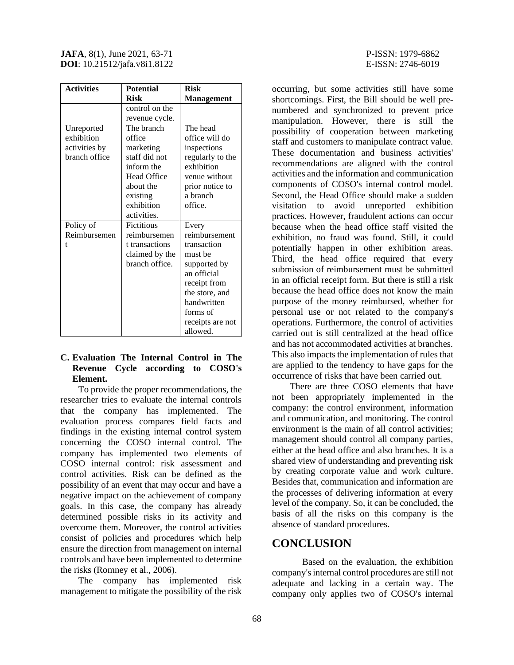| <b>Activities</b> | <b>Potential</b>   | <b>Risk</b>       |
|-------------------|--------------------|-------------------|
|                   | <b>Risk</b>        | <b>Management</b> |
|                   | control on the     |                   |
|                   | revenue cycle.     |                   |
| Unreported        | The branch         | The head          |
| exhibition        | office             | office will do    |
| activities by     | marketing          | inspections       |
| branch office     | staff did not      | regularly to the  |
|                   | inform the         | exhibition        |
|                   | <b>Head Office</b> | venue without     |
|                   | about the          | prior notice to   |
|                   | existing           | a branch          |
|                   | exhibition         | office.           |
|                   | activities.        |                   |
| Policy of         | <b>Fictitious</b>  | Every             |
| Reimbursemen      | reimbursemen       | reimbursement     |
| t                 | t transactions     | transaction       |
|                   | claimed by the     | must be           |
|                   | branch office.     | supported by      |
|                   |                    | an official       |
|                   |                    | receipt from      |
|                   |                    | the store, and    |
|                   |                    | handwritten       |
|                   |                    | forms of          |
|                   |                    | receipts are not  |
|                   |                    | allowed.          |

#### **C. Evaluation The Internal Control in The Revenue Cycle according to COSO's Element.**

To provide the proper recommendations, the researcher tries to evaluate the internal controls that the company has implemented. The evaluation process compares field facts and findings in the existing internal control system concerning the COSO internal control. The company has implemented two elements of COSO internal control: risk assessment and control activities. Risk can be defined as the possibility of an event that may occur and have a negative impact on the achievement of company goals. In this case, the company has already determined possible risks in its activity and overcome them. Moreover, the control activities consist of policies and procedures which help ensure the direction from management on internal controls and have been implemented to determine the risks (Romney et al., 2006).

The company has implemented risk management to mitigate the possibility of the risk occurring, but some activities still have some shortcomings. First, the Bill should be well prenumbered and synchronized to prevent price manipulation. However, there is still the possibility of cooperation between marketing staff and customers to manipulate contract value. These documentation and business activities' recommendations are aligned with the control activities and the information and communication components of COSO's internal control model. Second, the Head Office should make a sudden visitation to avoid unreported exhibition practices. However, fraudulent actions can occur because when the head office staff visited the exhibition, no fraud was found. Still, it could potentially happen in other exhibition areas. Third, the head office required that every submission of reimbursement must be submitted in an official receipt form. But there is still a risk because the head office does not know the main purpose of the money reimbursed, whether for personal use or not related to the company's operations. Furthermore, the control of activities carried out is still centralized at the head office and has not accommodated activities at branches. This also impacts the implementation of rules that are applied to the tendency to have gaps for the occurrence of risks that have been carried out.

There are three COSO elements that have not been appropriately implemented in the company: the control environment, information and communication, and monitoring. The control environment is the main of all control activities; management should control all company parties, either at the head office and also branches. It is a shared view of understanding and preventing risk by creating corporate value and work culture. Besides that, communication and information are the processes of delivering information at every level of the company. So, it can be concluded, the basis of all the risks on this company is the absence of standard procedures.

### **CONCLUSION**

Based on the evaluation, the exhibition company's internal control procedures are still not adequate and lacking in a certain way. The company only applies two of COSO's internal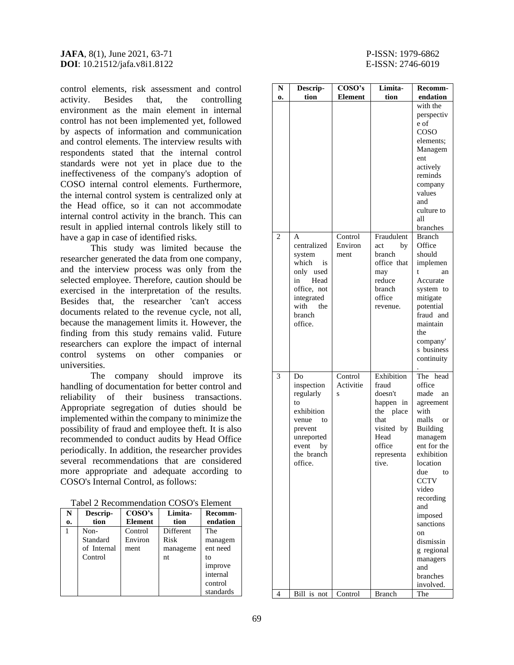control elements, risk assessment and control activity. Besides that, the controlling environment as the main element in internal control has not been implemented yet, followed by aspects of information and communication and control elements. The interview results with respondents stated that the internal control standards were not yet in place due to the ineffectiveness of the company's adoption of COSO internal control elements. Furthermore, the internal control system is centralized only at the Head office, so it can not accommodate internal control activity in the branch. This can result in applied internal controls likely still to have a gap in case of identified risks.

This study was limited because the researcher generated the data from one company, and the interview process was only from the selected employee. Therefore, caution should be exercised in the interpretation of the results. Besides that, the researcher 'can't access documents related to the revenue cycle, not all, because the management limits it. However, the finding from this study remains valid. Future researchers can explore the impact of internal control systems on other companies or universities.

The company should improve its handling of documentation for better control and reliability of their business transactions. Appropriate segregation of duties should be implemented within the company to minimize the possibility of fraud and employee theft. It is also recommended to conduct audits by Head Office periodically. In addition, the researcher provides several recommendations that are considered more appropriate and adequate according to COSO's Internal Control, as follows:

|  | Tabel 2 Recommendation COSO's Element |  |
|--|---------------------------------------|--|
|--|---------------------------------------|--|

| N  | Descrip-    | $\cos$ <sup>o</sup> 's | Limita-   | Recomm-   |
|----|-------------|------------------------|-----------|-----------|
| 0. | tion        | Element                | tion      | endation  |
| 1  | Non-        | Control                | Different | The       |
|    | Standard    | Environ                | Risk      | managem   |
|    | of Internal | ment                   | manageme  | ent need  |
|    | Control     |                        | nt        | to        |
|    |             |                        |           | improve   |
|    |             |                        |           | internal  |
|    |             |                        |           | control   |
|    |             |                        |           | standards |

| N              | Descrip-    | COSO's         | Limita-       | Recomm-                |
|----------------|-------------|----------------|---------------|------------------------|
| 0.             | tion        | <b>Element</b> | tion          | endation               |
|                |             |                |               | with the               |
|                |             |                |               | perspectiv             |
|                |             |                |               | e of                   |
|                |             |                |               | COSO                   |
|                |             |                |               | elements;              |
|                |             |                |               | Managem                |
|                |             |                |               | ent                    |
|                |             |                |               | actively               |
|                |             |                |               | reminds                |
|                |             |                |               | company                |
|                |             |                |               | values                 |
|                |             |                |               | and                    |
|                |             |                |               | culture to<br>all      |
|                |             |                |               | branches               |
| $\overline{c}$ | A           | Control        | Fraudulent    | <b>Branch</b>          |
|                | centralized | Environ        | act<br>by     | Office                 |
|                | system      | ment           | branch        | should                 |
|                | which<br>is |                | office that   | implemen               |
|                | only used   |                | may           | t<br>an                |
|                | Head<br>in  |                | reduce        | Accurate               |
|                | office, not |                | branch        | system to              |
|                | integrated  |                | office        | mitigate               |
|                | with<br>the |                | revenue.      | potential              |
|                | branch      |                |               | fraud and              |
|                | office.     |                |               | maintain               |
|                |             |                |               | the                    |
|                |             |                |               | company'<br>s business |
|                |             |                |               | continuity             |
|                |             |                |               |                        |
| 3              | Do          | Control        | Exhibition    | The head               |
|                | inspection  | Activitie      | fraud         | office                 |
|                | regularly   | S              | doesn't       | made<br>an             |
|                | to          |                | happen in     | agreement              |
|                | exhibition  |                | the<br>place  | with                   |
|                | venue to    |                | that          | malls<br>- or          |
|                | prevent     |                | visited by    | Building               |
|                | unreported  |                | Head          | managem                |
|                | event by    |                | office        | ent for the            |
|                | the branch  |                | representa    | exhibition             |
|                | office.     |                | tive.         | location<br>due<br>to  |
|                |             |                |               | <b>CCTV</b>            |
|                |             |                |               | video                  |
|                |             |                |               | recording              |
|                |             |                |               | and                    |
|                |             |                |               | imposed                |
|                |             |                |               | sanctions              |
|                |             |                |               | on                     |
|                |             |                |               | dismissin              |
|                |             |                |               | g regional             |
|                |             |                |               | managers               |
|                |             |                |               | and                    |
|                |             |                |               | branches               |
| 4              | Bill is not | Control        | <b>Branch</b> | involved.<br>The       |
|                |             |                |               |                        |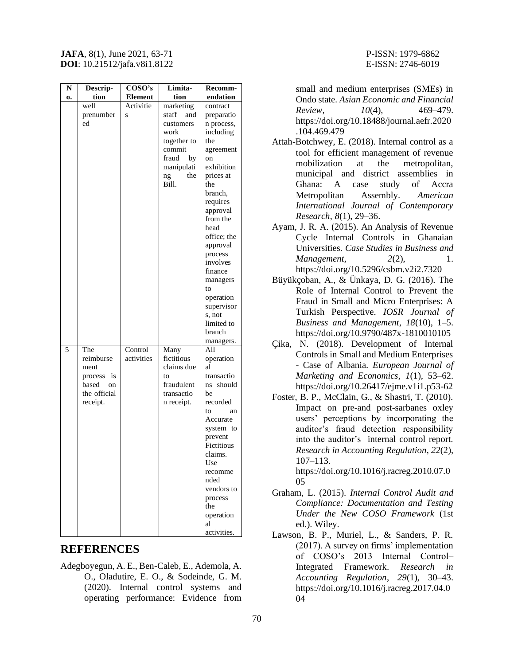| N  | Descrip-                                                                                    | COSO's                | Limita-                                                                                                                    | Recomm-                                                                                                                                                                                                                                                                                                          |
|----|---------------------------------------------------------------------------------------------|-----------------------|----------------------------------------------------------------------------------------------------------------------------|------------------------------------------------------------------------------------------------------------------------------------------------------------------------------------------------------------------------------------------------------------------------------------------------------------------|
| 0. | tion                                                                                        | <b>Element</b>        | tion                                                                                                                       | endation                                                                                                                                                                                                                                                                                                         |
|    | well<br>prenumber<br>ed                                                                     | Activitie<br>S        | marketing<br>staff<br>and<br>customers<br>work<br>together to<br>commit<br>fraud<br>by<br>manipulati<br>the<br>ng<br>Bill. | contract<br>preparatio<br>n process,<br>including<br>the<br>agreement<br>on<br>exhibition<br>prices at<br>the<br>branch,<br>requires<br>approval<br>from the<br>head<br>office; the<br>approval<br>process<br>involves<br>finance<br>managers<br>to<br>operation<br>supervisor<br>s, not<br>limited to<br>branch |
| 5  | The<br>reimburse<br>ment<br>process<br><i>is</i><br>based<br>on<br>the official<br>receipt. | Control<br>activities | Many<br>fictitious<br>claims due<br>to<br>fraudulent<br>transactio<br>n receipt.                                           | managers.<br>All<br>operation<br>al<br>transactio<br>ns should<br>be<br>recorded<br>to<br>an<br>Accurate<br>system to<br>prevent<br>Fictitious<br>claims.<br>Use<br>recomme<br>nded<br>vendors to<br>process<br>the<br>operation<br>al<br>activities.                                                            |

### **REFERENCES**

Adegboyegun, A. E., Ben-Caleb, E., Ademola, A. O., Oladutire, E. O., & Sodeinde, G. M. (2020). Internal control systems and operating performance: Evidence from

small and medium enterprises (SMEs) in Ondo state. *Asian Economic and Financial Review*, *10*(4), 469–479. https://doi.org/10.18488/journal.aefr.2020 .104.469.479

- Attah-Botchwey, E. (2018). Internal control as a tool for efficient management of revenue mobilization at the metropolitan, municipal and district assemblies in Ghana: A case study of Accra Metropolitan Assembly. *American International Journal of Contemporary Research*, *8*(1), 29–36.
- Ayam, J. R. A. (2015). An Analysis of Revenue Cycle Internal Controls in Ghanaian Universities. *Case Studies in Business and Management*, 2(2), 1. https://doi.org/10.5296/csbm.v2i2.7320
- Büyükçoban, A., & Ünkaya, D. G. (2016). The Role of Internal Control to Prevent the Fraud in Small and Micro Enterprises: A Turkish Perspective. *IOSR Journal of Business and Management*, *18*(10), 1–5. https://doi.org/10.9790/487x-1810010105
- Çika, N. (2018). Development of Internal Controls in Small and Medium Enterprises - Case of Albania. *European Journal of Marketing and Economics*, *1*(1), 53–62. https://doi.org/10.26417/ejme.v1i1.p53-62
- Foster, B. P., McClain, G., & Shastri, T. (2010). Impact on pre-and post-sarbanes oxley users' perceptions by incorporating the auditor's fraud detection responsibility into the auditor's internal control report. *Research in Accounting Regulation*, *22*(2), 107–113.

https://doi.org/10.1016/j.racreg.2010.07.0 05

- Graham, L. (2015). *Internal Control Audit and Compliance: Documentation and Testing Under the New COSO Framework* (1st ed.). Wiley.
- Lawson, B. P., Muriel, L., & Sanders, P. R. (2017). A survey on firms' implementation of COSO's 2013 Internal Control– Integrated Framework. *Research in Accounting Regulation*, *29*(1), 30–43. https://doi.org/10.1016/j.racreg.2017.04.0 04